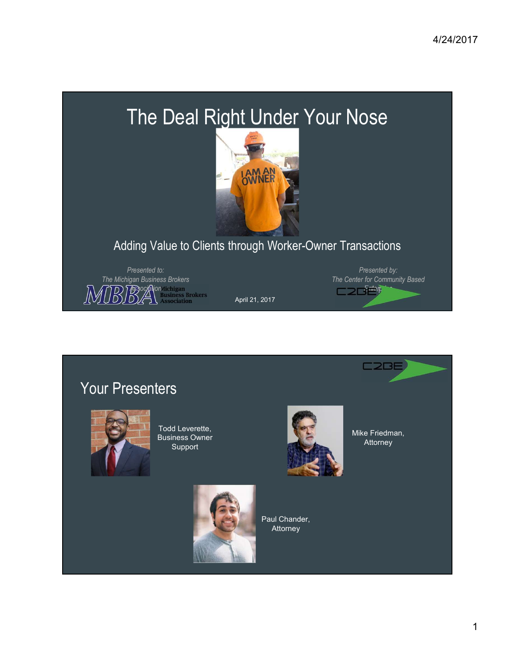# The Deal Right Under Your Nose



### Adding Value to Clients through Worker-Owner Transactions



April 21, 2017



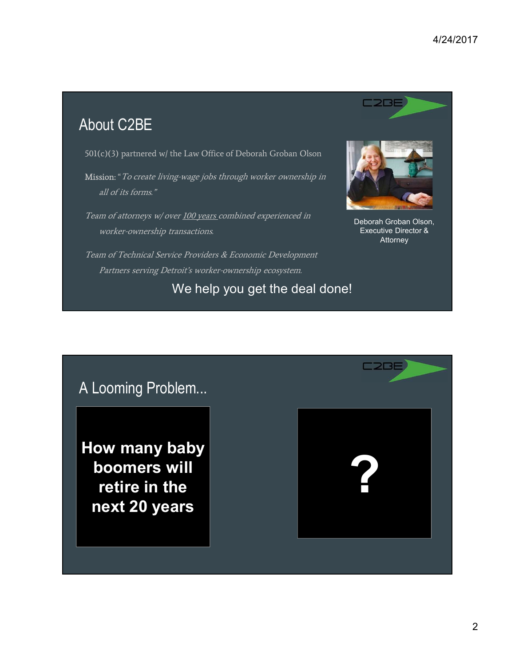# About C2BE

501(c)(3) partnered w/ the Law Office of Deborah Groban Olson

Mission: "To create living-wage jobs through worker ownership in all of its forms."

Team of attorneys w/ over 100 years combined experienced in worker-ownership transactions.



Deborah Groban Olson, Executive Director & Attorney

Team of Technical Service Providers & Economic Development Partners serving Detroit's worker-ownership ecosystem.

We help you get the deal done!

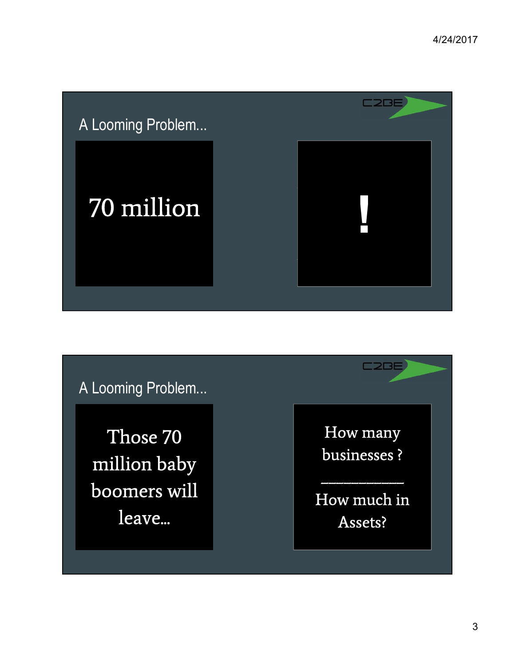

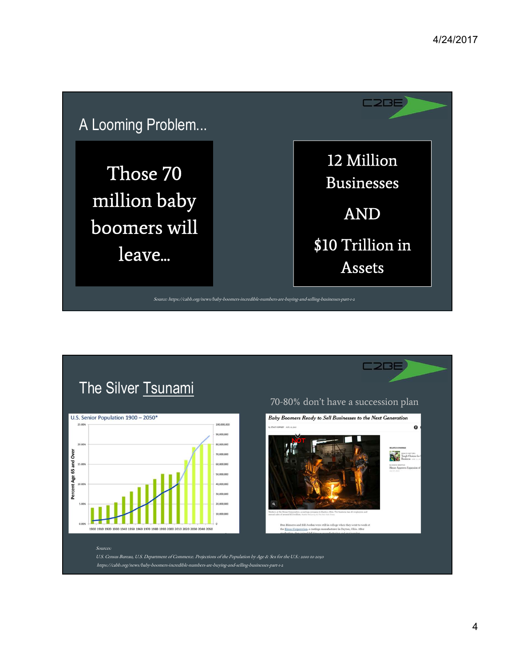



4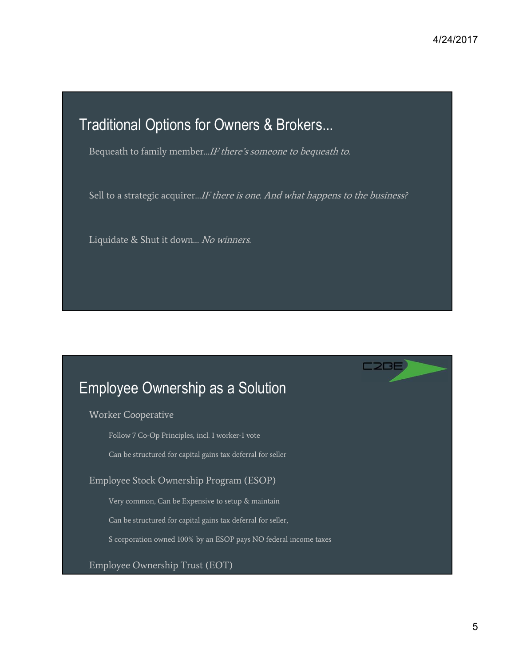**C2BE** 

# Traditional Options for Owners & Brokers...

Bequeath to family member...*IF there's someone to bequeath to.* 

Sell to a strategic acquirer...IF there is one. And what happens to the business?

Liquidate & Shut it down... No winners.

## Employee Ownership as a Solution

Worker Cooperative

Follow 7 Co-Op Principles, incl. 1 worker-1 vote

Can be structured for capital gains tax deferral for seller

Employee Stock Ownership Program (ESOP)

Very common, Can be Expensive to setup & maintain

Can be structured for capital gains tax deferral for seller,

S corporation owned 100% by an ESOP pays NO federal income taxes

Employee Ownership Trust (EOT)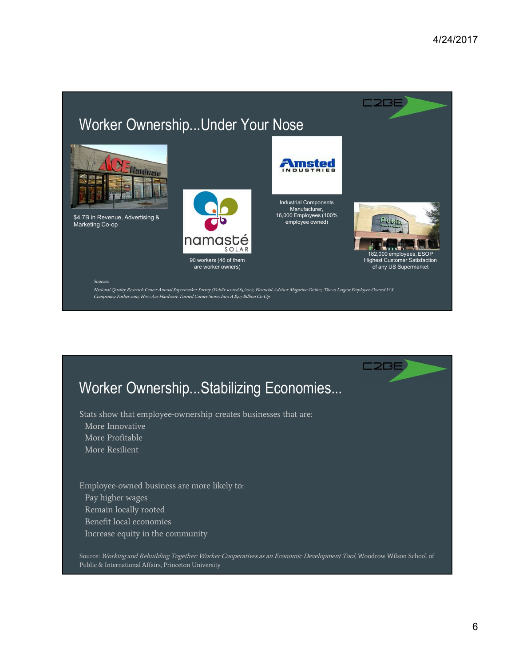# Worker Ownership...Under Your Nose



\$4.7B in Revenue, Advertising & Marketing Co-op



16,000 Employees (100% Pulse) employee owned)

F**imsted** 

NDUS



C<sub>2</sub>BE

182,000 employees, ESOP Highest Customer Satisfaction of any US Supermarket

**C2BE** 

#### Sources:

National Quality Research Center Annual Supermarket Survey (Publix scored 83/100); Financial-Advisor Magazine Online, The 10 Largest Employee-Owned U.S. Companies; Forbes.com, How Ace Hardware Turned Corner Stores Into A \$4.7 Billion Co-Op

## Worker Ownership...Stabilizing Economies...

Stats show that employee-ownership creates businesses that are:

- More Innovative
- More Profitable
- More Resilient

Employee-owned business are more likely to: Pay higher wages Remain locally rooted Benefit local economies Increase equity in the community

Source: Working and Rebuilding Together: Worker Cooperatives as an Economic Development Tool, Woodrow Wilson School of Public & International Affairs, Princeton University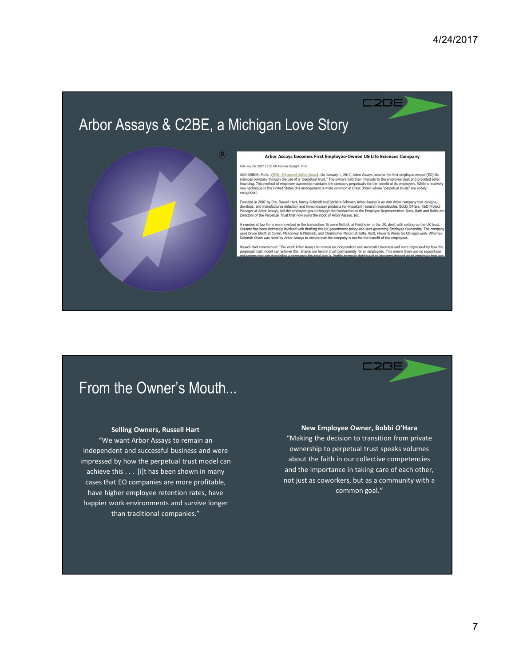# Arbor Assays & C2BE, a Michigan Love Story



#### Arbor Assays becomes First Employee-Owned US Life Sciences Company

**C2BE** 

February 06, 2017 11:33 AM Fastern Davlieht Time

ANN ARBOR, Mich.--(EON: Enhanced Online News)--On January 1, 2017, Arbor Assays became the first employee-owned (EO) life<br>sciences company through the use of a "perpetual trust." The owners sold their interests to the empl es. While a relatively riew technik

Founded in 2007 by Drs. Russell Hart, Nancy Schmidt and Barbara Scheuer, Arbor Assays is an Ann Arbor company that designs,<br>develops, and manufactures detection and immunoassay products for important research biomolecules.

A number of law firms were involved in the transaction. Graeme Nuttall, at Fieldfisher in the UK, dealt with setting up the UK trust.<br>Graeme has been intimately involved with drafting the UK government policy and laws gove

Russell Hart commented: "We want Arbor Assays to remain an independent and successful business and were impressed by how the<br>perpetual trust model can achieve this. Shares are held in trust permanently for all employees. T

### From the Owner's Mouth...

#### Selling Owners, Russell Hart

"We want Arbor Assays to remain an independent and successful business and were impressed by how the perpetual trust model can achieve this . . . [i]t has been shown in many cases that EO companies are more profitable, have higher employee retention rates, have happier work environments and survive longer than traditional companies."

#### New Employee Owner, Bobbi O'Hara

C2BE

"Making the decision to transition from private ownership to perpetual trust speaks volumes about the faith in our collective competencies and the importance in taking care of each other, not just as coworkers, but as a community with a common goal."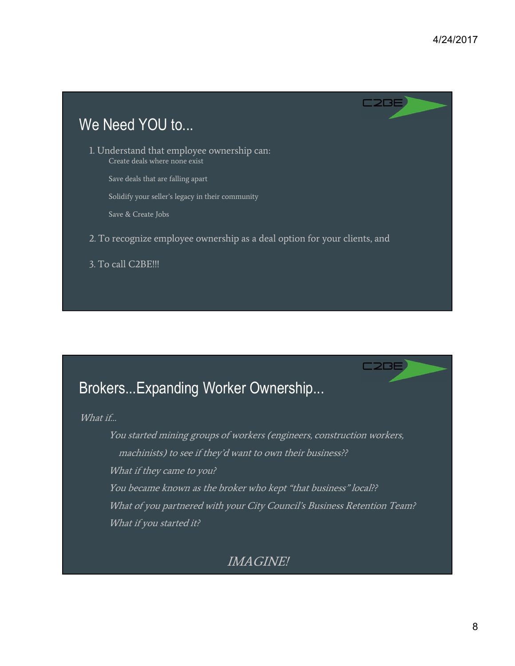

# **C2BE** Brokers...Expanding Worker Ownership... What if… You started mining groups of workers (engineers, construction workers, machinists) to see if they'd want to own their business?? What if they came to you? You became known as the broker who kept "that business" local?? What of you partnered with your City Council's Business Retention Team? What if you started it? IMAGINE!